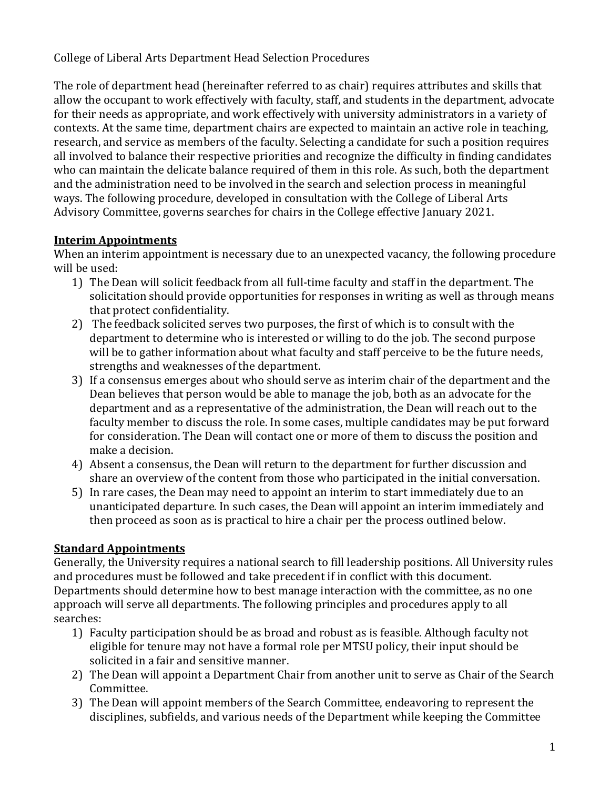College of Liberal Arts Department Head Selection Procedures

The role of department head (hereinafter referred to as chair) requires attributes and skills that allow the occupant to work effectively with faculty, staff, and students in the department, advocate for their needs as appropriate, and work effectively with university administrators in a variety of contexts. At the same time, department chairs are expected to maintain an active role in teaching, research, and service as members of the faculty. Selecting a candidate for such a position requires all involved to balance their respective priorities and recognize the difficulty in finding candidates who can maintain the delicate balance required of them in this role. As such, both the department and the administration need to be involved in the search and selection process in meaningful ways. The following procedure, developed in consultation with the College of Liberal Arts Advisory Committee, governs searches for chairs in the College effective January 2021.

## **Interim Appointments**

When an interim appointment is necessary due to an unexpected vacancy, the following procedure will be used:

- 1) The Dean will solicit feedback from all full-time faculty and staff in the department. The solicitation should provide opportunities for responses in writing as well as through means that protect confidentiality.
- 2) The feedback solicited serves two purposes, the first of which is to consult with the department to determine who is interested or willing to do the job. The second purpose will be to gather information about what faculty and staff perceive to be the future needs, strengths and weaknesses of the department.
- 3) If a consensus emerges about who should serve as interim chair of the department and the Dean believes that person would be able to manage the job, both as an advocate for the department and as a representative of the administration, the Dean will reach out to the faculty member to discuss the role. In some cases, multiple candidates may be put forward for consideration. The Dean will contact one or more of them to discuss the position and make a decision.
- 4) Absent a consensus, the Dean will return to the department for further discussion and share an overview of the content from those who participated in the initial conversation.
- 5) In rare cases, the Dean may need to appoint an interim to start immediately due to an unanticipated departure. In such cases, the Dean will appoint an interim immediately and then proceed as soon as is practical to hire a chair per the process outlined below.

## **Standard Appointments**

Generally, the University requires a national search to fill leadership positions. All University rules and procedures must be followed and take precedent if in conflict with this document. Departments should determine how to best manage interaction with the committee, as no one approach will serve all departments. The following principles and procedures apply to all searches:

- 1) Faculty participation should be as broad and robust as is feasible. Although faculty not eligible for tenure may not have a formal role per MTSU policy, their input should be solicited in a fair and sensitive manner.
- 2) The Dean will appoint a Department Chair from another unit to serve as Chair of the Search Committee.
- 3) The Dean will appoint members of the Search Committee, endeavoring to represent the disciplines, subfields, and various needs of the Department while keeping the Committee